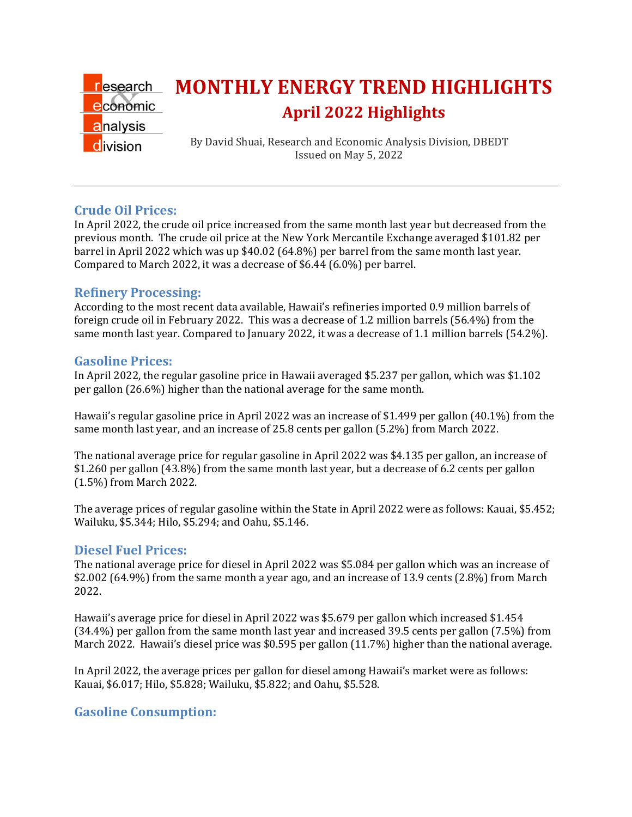

## **Crude Oil Prices:**

In April 2022, the crude oil price increased from the same month last year but decreased from the previous month. The crude oil price at the New York Mercantile Exchange averaged \$101.82 per barrel in April 2022 which was up \$40.02 (64.8%) per barrel from the same month last year. Compared to March 2022, it was a decrease of \$6.44 (6.0%) per barrel.

## **Refinery Processing:**

According to the most recent data available, Hawaii's refineries imported 0.9 million barrels of foreign crude oil in February 2022. This was a decrease of 1.2 million barrels (56.4%) from the same month last year. Compared to January 2022, it was a decrease of 1.1 million barrels (54.2%).

### **Gasoline Prices:**

In April 2022, the regular gasoline price in Hawaii averaged \$5.237 per gallon, which was \$1.102 per gallon (26.6%) higher than the national average for the same month.

Hawaii's regular gasoline price in April 2022 was an increase of \$1.499 per gallon (40.1%) from the same month last year, and an increase of 25.8 cents per gallon (5.2%) from March 2022.

The national average price for regular gasoline in April 2022 was \$4.135 per gallon, an increase of \$1.260 per gallon (43.8%) from the same month last year, but a decrease of 6.2 cents per gallon (1.5%) from March 2022.

The average prices of regular gasoline within the State in April 2022 were as follows: Kauai, \$5.452; Wailuku, \$5.344; Hilo, \$5.294; and Oahu, \$5.146.

### **Diesel Fuel Prices:**

The national average price for diesel in April 2022 was \$5.084 per gallon which was an increase of \$2.002 (64.9%) from the same month a year ago, and an increase of 13.9 cents (2.8%) from March 2022.

Hawaii's average price for diesel in April 2022 was \$5.679 per gallon which increased \$1.454 (34.4%) per gallon from the same month last year and increased 39.5 cents per gallon (7.5%) from March 2022. Hawaii's diesel price was \$0.595 per gallon (11.7%) higher than the national average.

In April 2022, the average prices per gallon for diesel among Hawaii's market were as follows: Kauai, \$6.017; Hilo, \$5.828; Wailuku, \$5.822; and Oahu, \$5.528.

# **Gasoline Consumption:**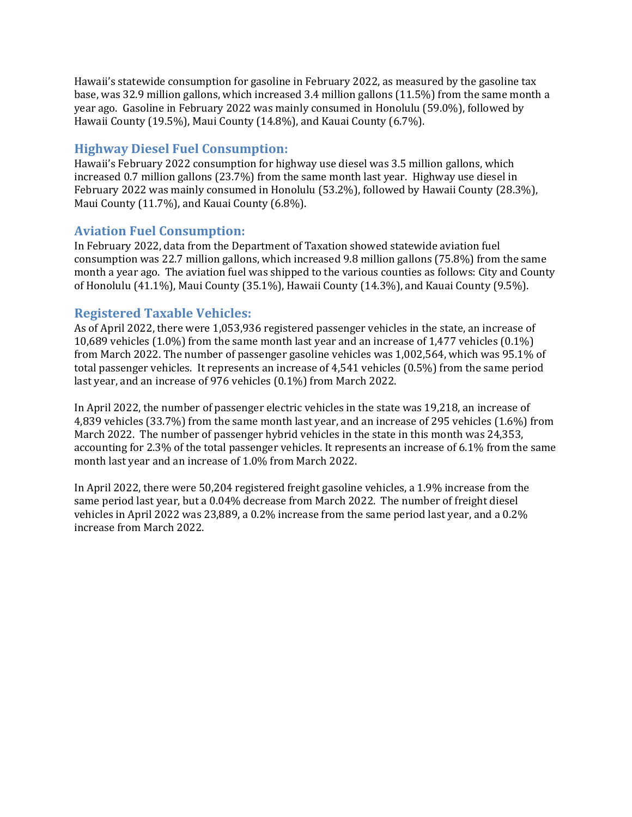Hawaii's statewide consumption for gasoline in February 2022, as measured by the gasoline tax base, was 32.9 million gallons, which increased 3.4 million gallons (11.5%) from the same month a year ago. Gasoline in February 2022 was mainly consumed in Honolulu (59.0%), followed by Hawaii County (19.5%), Maui County (14.8%), and Kauai County (6.7%).

## **Highway Diesel Fuel Consumption:**

Hawaii's February 2022 consumption for highway use diesel was 3.5 million gallons, which increased 0.7 million gallons (23.7%) from the same month last year. Highway use diesel in February 2022 was mainly consumed in Honolulu (53.2%), followed by Hawaii County (28.3%), Maui County (11.7%), and Kauai County (6.8%).

## **Aviation Fuel Consumption:**

In February 2022, data from the Department of Taxation showed statewide aviation fuel consumption was 22.7 million gallons, which increased 9.8 million gallons (75.8%) from the same month a year ago. The aviation fuel was shipped to the various counties as follows: City and County of Honolulu (41.1%), Maui County (35.1%), Hawaii County (14.3%), and Kauai County (9.5%).

## **Registered Taxable Vehicles:**

As of April 2022, there were 1,053,936 registered passenger vehicles in the state, an increase of 10,689 vehicles (1.0%) from the same month last year and an increase of 1,477 vehicles (0.1%) from March 2022. The number of passenger gasoline vehicles was 1,002,564, which was 95.1% of total passenger vehicles. It represents an increase of 4,541 vehicles (0.5%) from the same period last year, and an increase of 976 vehicles (0.1%) from March 2022.

In April 2022, the number of passenger electric vehicles in the state was 19,218, an increase of 4,839 vehicles (33.7%) from the same month last year, and an increase of 295 vehicles (1.6%) from March 2022. The number of passenger hybrid vehicles in the state in this month was 24,353, accounting for 2.3% of the total passenger vehicles. It represents an increase of 6.1% from the same month last year and an increase of 1.0% from March 2022.

In April 2022, there were 50,204 registered freight gasoline vehicles, a 1.9% increase from the same period last year, but a 0.04% decrease from March 2022. The number of freight diesel vehicles in April 2022 was 23,889, a 0.2% increase from the same period last year, and a 0.2% increase from March 2022.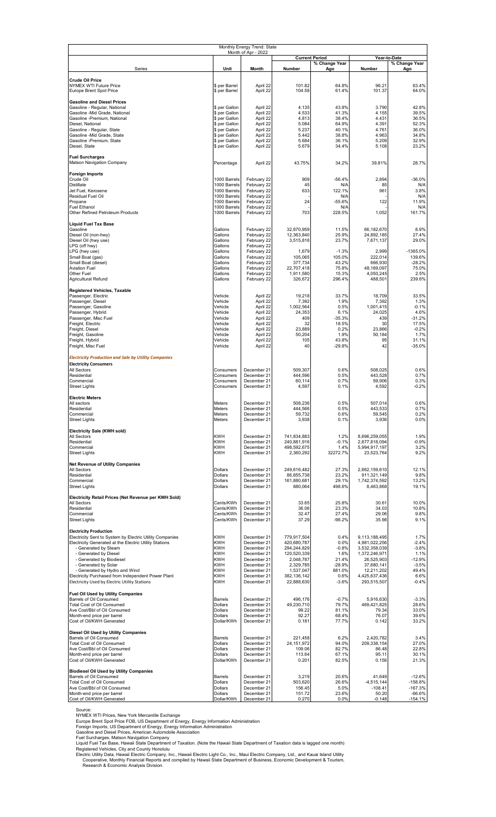|                                                                                                                    |                                | Monthly Energy Trend: State<br>Month of Apr - 2022 |                            |                      |                                |                       |
|--------------------------------------------------------------------------------------------------------------------|--------------------------------|----------------------------------------------------|----------------------------|----------------------|--------------------------------|-----------------------|
|                                                                                                                    |                                | <b>Current Period</b>                              |                            | Year-to-Date         |                                |                       |
| Series                                                                                                             | Unit                           | Month                                              | Number                     | % Change Year<br>Ago | Number                         | % Change Year<br>Ago  |
| <b>Crude Oil Price</b><br><b>NYMEX WTI Future Price</b><br>Europe Brent Spot Price                                 | \$ per Barrel<br>\$ per Barrel | April 22<br>April 22                               | 101.82<br>104.58           | 64.8%<br>61.4%       | 96.21<br>101.37                | 63.4%<br>64.0%        |
| <b>Gasoline and Diesel Prices</b>                                                                                  |                                |                                                    |                            |                      |                                |                       |
| Gasoline - Regular, National<br>Gasoline - Mid Grade, National                                                     | \$ per Gallon<br>\$ per Gallon | April 22<br>April 22                               | 4.135<br>4.533             | 43.8%<br>41.3%       | 3.790<br>4.155                 | 42.8%<br>39.5%        |
| Gasoline -Premium, National                                                                                        | \$ per Gallon                  | April 22                                           | 4.813                      | 38.4%                | 4.431                          | 36.5%                 |
| Diesel, National<br>Gasoline - Regular, State                                                                      | \$ per Gallon<br>\$ per Gallon | April 22<br>April 22                               | 5.084<br>5.237             | 64.9%<br>40.1%       | 4.391<br>4.761                 | 52.3%<br>36.0%        |
| Gasoline -Mid Grade, State                                                                                         | \$ per Gallon                  | April 22                                           | 5.442                      | 38.8%                | 4.963                          | 34.8%                 |
| Gasoline -Premium, State<br>Diesel, State                                                                          | \$ per Gallon<br>\$ per Gallon | April 22<br>April 22                               | 5.684<br>5.679             | 36.1%<br>34.4%       | 5.209<br>5.108                 | 32.9%<br>23.2%        |
| <b>Fuel Surcharges</b><br><b>Matson Navigation Company</b>                                                         | Percentage                     | April 22                                           | 43.75%                     | 34.2%                | 39.81%                         | 28.7%                 |
| <b>Foreign Imports</b>                                                                                             |                                |                                                    |                            |                      |                                |                       |
| Crude Oil<br><b>Distillate</b>                                                                                     | 1000 Barrels<br>1000 Barrels   | February 22<br>February 22                         | 909<br>45                  | $-56.4%$<br>N/A      | 2,894<br>85                    | $-36.0%$<br>N/A       |
| Jet Fuel, Kerosene                                                                                                 | 1000 Barrels                   | February 22                                        | 633                        | 122.1%               | 961                            | 3.8%                  |
| Residual Fuel Oil<br>Propane                                                                                       | 1000 Barrels<br>1000 Barrels   | February 22<br>February 22                         | 24                         | N/A<br>$-55.6%$      | 122                            | N/A<br>11.9%          |
| <b>Fuel Ethanol</b>                                                                                                | 1000 Barrels                   | February 22                                        |                            | N/A                  |                                | N/A                   |
| Other Refined Petroleum Products                                                                                   | 1000 Barrels                   | February 22                                        | 703                        | 228.5%               | 1,052                          | 161.7%                |
| <b>Liquid Fuel Tax Base</b><br>Gasoline                                                                            | Gallons                        | February 22                                        | 32,870,959                 | 11.5%                | 66,182,670                     | 8.9%                  |
| Diesel Oil (non-hwy)                                                                                               | Gallons                        | February 22                                        | 12,363,840                 | 25.9%                | 24,892,185                     | 27.4%                 |
| Diesel Oil (hwy use)<br>LPG (off hwy)                                                                              | Gallons<br>Gallons             | February 22<br>February 22                         | 3,515,816                  | 23.7%                | 7,671,137                      | 29.0%                 |
| LPG (hwy use)                                                                                                      | Gallons                        | February 22                                        | 1,679                      | $-1.3%$              | 2,999                          | -1365.0%              |
| Small Boat (gas)<br>Small Boat (diesel)                                                                            | Gallons<br>Gallons             | February 22<br>February 22                         | 105,065<br>377,734         | 105.0%<br>43.2%      | 222,014<br>666,930             | 139.6%<br>$-28.2%$    |
| <b>Aviation Fuel</b>                                                                                               | Gallons                        | February 22                                        | 22,707,418                 | 75.8%                | 48,169,097                     | 75.0%                 |
| Other Fuel<br>Agricultural Refund                                                                                  | Gallons<br>Gallons             | February 22<br>February 22                         | 1,911,580<br>326,672       | 15.3%<br>296.4%      | 4,050,245<br>488,501           | 2.5%<br>239.6%        |
|                                                                                                                    |                                |                                                    |                            |                      |                                |                       |
| <b>Registered Vehicles, Taxable</b><br>Passenger, Electric                                                         | Vehicle                        | April 22                                           | 19,218                     | 33.7%                | 18,709                         | 33.5%                 |
| Passenger, Diesel                                                                                                  | Vehicle                        | April 22                                           | 7,392                      | 1.9%                 | 7,392                          | 1.3%                  |
| Passenger, Gasoline                                                                                                | Vehicle<br>Vehicle             | April 22<br>April 22                               | 1,002,564<br>24,353        | 0.5%<br>6.1%         | 1,001,415<br>24,025            | $-0.1%$<br>4.6%       |
| Passenger, Hybrid<br>Passenger, Misc Fuel                                                                          | Vehicle                        | April 22                                           | 409                        | $-35.3%$             | 439                            | $-31.2%$              |
| Freight, Electric                                                                                                  | Vehicle                        | April 22                                           | 32                         | 18.5%                | 30                             | 17.5%                 |
| Freight, Diesel<br>Freight, Gasoline                                                                               | Vehicle<br>Vehicle             | April 22<br>April 22                               | 23,889<br>50,204           | 0.2%<br>1.9%         | 23,866<br>50,184               | $-0.2%$<br>1.7%       |
| Freight, Hybrid                                                                                                    | Vehicle                        | April 22                                           | 105                        | 43.8%                | 95                             | 31.1%                 |
| Freight, Misc Fuel                                                                                                 | Vehicle                        | April 22                                           | 40                         | $-29.8%$             | 42                             | $-35.0%$              |
| <b>Electricity Production and Sale by Utility Companies</b>                                                        |                                |                                                    |                            |                      |                                |                       |
| <b>Electricity Consumers</b><br>All Sectors                                                                        | Consumers                      | December 21                                        | 509,307                    | 0.6%                 | 508,025                        | 0.6%                  |
| Residential                                                                                                        | Consumers                      | December 21                                        | 444,596                    | 0.5%                 | 443,528                        | 0.7%                  |
| Commercial<br><b>Street Lights</b>                                                                                 | Consumers<br>Consumers         | December 21<br>December 21                         | 60,114<br>4,597            | 0.7%<br>0.1%         | 59,906<br>4,592                | 0.3%<br>$-0.2%$       |
|                                                                                                                    |                                |                                                    |                            |                      |                                |                       |
| <b>Electric Meters</b><br>All sectors                                                                              | <b>Meters</b>                  | December 21                                        | 508,236                    | 0.5%                 | 507,014                        | 0.6%                  |
| Residential                                                                                                        | Meters                         | December 21                                        | 444,566                    | 0.5%                 | 443,533                        | 0.7%                  |
| Commercial                                                                                                         | Meters                         | December 21                                        | 59,732                     | 0.6%                 | 59,545                         | 0.2%                  |
| <b>Street Lights</b>                                                                                               | Meters                         | December 21                                        | 3,938                      | 0.1%                 | 3,936                          | 0.0%                  |
| <b>Electricity Sale (KWH sold)</b>                                                                                 |                                |                                                    |                            |                      |                                |                       |
| All Sectors<br>Residential                                                                                         | <b>KWH</b><br><b>KWH</b>       | December 21<br>December 21                         | 741,834,883<br>240,881,916 | 1.2%<br>$-0.1%$      | 8,696,259,055<br>2,677,818,094 | 1.9%<br>$-0.9%$       |
| Commercial                                                                                                         | <b>KWH</b>                     | December 21                                        | 498,592,675                | 1.4%                 | 5,994,917,197                  | 3.2%                  |
| <b>Street Lights</b>                                                                                               | <b>KWH</b>                     | December 21                                        | 2,360,292                  | 32272.7%             | 23,523,764                     | 9.2%                  |
| <b>Net Revenue of Utility Companies</b>                                                                            |                                |                                                    |                            |                      |                                |                       |
| All Sectors<br>Residential                                                                                         | Dollars<br>Dollars             | December 21<br>December 21                         | 249,616,482<br>86,855,738  | 27.3%<br>23.2%       | 2,662,159,610<br>911,321,149   | 12.1%<br>9.8%         |
| Commercial                                                                                                         | Dollars                        | December 21                                        | 161,880,681                | 29.1%                | 1,742,374,592                  | 13.2%                 |
| <b>Street Lights</b>                                                                                               | Dollars                        | December 21                                        | 880,064                    | 498.6%               | 8,463,868                      | 19.1%                 |
| Electricity Retail Prices (Net Revenue per KWH Sold)                                                               |                                |                                                    |                            |                      |                                |                       |
| All Sectors<br>Residential                                                                                         | Cents/KWh<br>Cents/KWh         | December 21<br>December 21                         | 33.65<br>36.06             | 25.8%<br>23.3%       | 30.61<br>34.03                 | 10.0%<br>10.8%        |
| Commercial                                                                                                         | Cents/KWh                      | December 21                                        | 32.47                      | 27.4%                | 29.06                          | 9.8%                  |
| <b>Street Lights</b>                                                                                               | Cents/KWh                      | December 21                                        | 37.29                      | $-98.2%$             | 35.98                          | 9.1%                  |
| <b>Electricity Production</b>                                                                                      |                                |                                                    |                            |                      |                                |                       |
| Electricity Sent to System by Electric Utility Companies<br>Electricity Generated at the Electric Utility Stations | <b>KWH</b><br><b>KWH</b>       | December 21<br>December 21                         | 779,917,504<br>420,680,787 | 0.4%<br>0.0%         | 9,113,188,495<br>4,981,022,256 | 1.7%<br>$-2.4%$       |
| - Generated by Steam                                                                                               | <b>KWH</b>                     | December 21                                        | 294,244,829                | $-0.8%$              | 3,532,358,039                  | $-3.8%$               |
| - Generated by Diesel<br>- Generated by Biodiesel                                                                  | <b>KWH</b><br><b>KWH</b>       | December 21<br>December 21                         | 120,520,339<br>2,048,787   | 1.6%<br>21.4%        | 1,372,246,971<br>26,525,903    | 1.1%<br>$-12.9%$      |
| - Generated by Solar                                                                                               | <b>KWH</b>                     | December 21                                        | 2,329,785                  | $-28.9%$             | 37,680,141                     | $-3.5%$               |
| - Generated by Hydro and Wind                                                                                      | <b>KWH</b>                     | December 21                                        | 1,537,047                  | 881.0%               | 12,211,202                     | 49.4%                 |
| Electricity Purchased from Independent Power Plant<br>Electricity Used by Electric Utility Stations                | <b>KWH</b><br><b>KWH</b>       | December 21<br>December 21                         | 382,136,142<br>22,888,630  | 0.6%<br>$-3.6%$      | 4,425,637,436<br>293,515,507   | 6.6%<br>$-0.4%$       |
| Fuel Oil Used by Utility Companies                                                                                 |                                |                                                    |                            |                      |                                |                       |
| Barrels of Oil Consumed                                                                                            | <b>Barrels</b>                 | December 21                                        | 496,176                    | $-0.7%$              | 5,916,630                      | $-3.3%$               |
| Total Cost of Oil Consumed                                                                                         | Dollars<br>Dollars             | December 21<br>December 21                         | 49,230,710                 | 79.7%<br>81.1%       | 469,421,825                    | 28.6%                 |
| Ave Cost/Bbl of Oil Consumed<br>Month-end price per barrel                                                         | Dollars                        | December 21                                        | 99.22<br>92.27             | 68.4%                | 79.34<br>76.07                 | 33.0%<br>39.6%        |
| Cost of Oil/KWH Generated                                                                                          | Dollar/KWh                     | December 21                                        | 0.181                      | 77.7%                | 0.142                          | 33.2%                 |
| Diesel Oil Used by Utility Companies                                                                               |                                |                                                    |                            |                      |                                |                       |
| Barrels of Oil Consumed<br><b>Total Cost of Oil Consumed</b>                                                       | <b>Barrels</b><br>Dollars      | December 21<br>December 21                         | 221,458<br>24, 151, 972    | 6.2%<br>94.0%        | 2,420,782<br>209,338,154       | 3.4%<br>27.0%         |
| Ave Cost/Bbl of Oil Consumed                                                                                       | Dollars                        | December 21                                        | 109.06                     | 82.7%                | 86.48                          | 22.8%                 |
| Month-end price per barrel                                                                                         | Dollars                        | December 21                                        | 113.64                     | 67.1%                | 95.11                          | 30.1%                 |
| Cost of Oil/KWH Generated                                                                                          | Dollar/KWh                     | December 21                                        | 0.201                      | 82.5%                | 0.156                          | 21.3%                 |
| <b>Biodiesel Oil Used by Utility Companies</b><br>Barrels of Oil Consumed                                          | <b>Barrels</b>                 | December 21                                        | 3,219                      | 20.6%                | 41,649                         | $-12.6%$              |
| <b>Total Cost of Oil Consumed</b>                                                                                  | Dollars                        | December 21                                        | 503,620                    | 26.6%                | $-4,515,144$                   | $-158.8%$             |
| Ave Cost/Bbl of Oil Consumed<br>Month-end price per barrel                                                         | Dollars<br>Dollars             | December 21<br>December 21                         | 156.45<br>151.72           | 5.0%<br>23.6%        | $-108.41$<br>50.20             | $-167.3%$<br>$-66.6%$ |
| Cost of Oil/KWH Generated                                                                                          | Dollar/KWh                     | December 21                                        | 0.270                      | 0.0%                 | $-0.148$                       | $-154.1%$             |

Source:<br>
NYMEX WTI Prices, New York Mercantile Exchange<br>
Europe Brent Spot Price FOB, US Department of Energy, Energy Information Administration<br>
Foreign Imports, US Department of Energy, Energy Information Administration<br>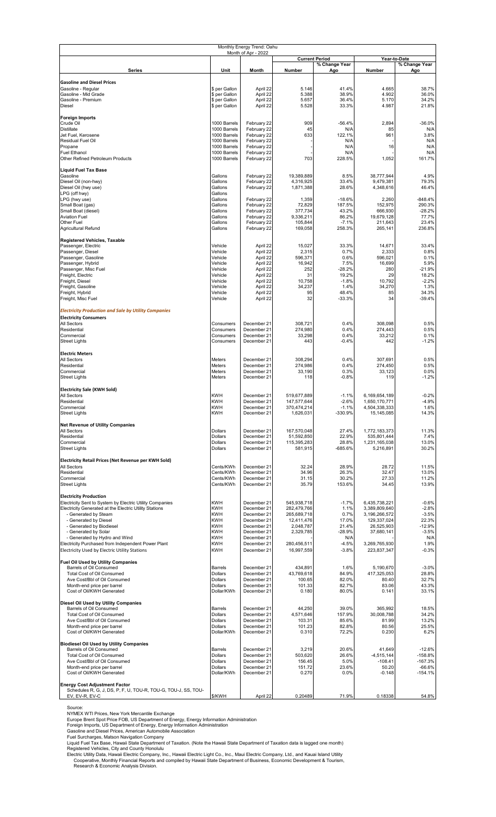| Monthly Energy Trend: Oahu<br>Month of Apr - 2022                                                     |                                  |                            |                            |                                        |                                |                       |  |  |  |  |
|-------------------------------------------------------------------------------------------------------|----------------------------------|----------------------------|----------------------------|----------------------------------------|--------------------------------|-----------------------|--|--|--|--|
|                                                                                                       |                                  |                            |                            | <b>Current Period</b><br>% Change Year | Year-to-Date<br>% Change Year  |                       |  |  |  |  |
| <b>Series</b>                                                                                         | Unit                             | Month                      | Number                     | Ago                                    | Number                         | Ago                   |  |  |  |  |
| <b>Gasoline and Diesel Prices</b>                                                                     |                                  |                            |                            |                                        |                                |                       |  |  |  |  |
| Gasoline - Regular                                                                                    | \$ per Gallon                    | April 22                   | 5.146                      | 41.4%                                  | 4.665                          | 38.7%                 |  |  |  |  |
| Gasoline - Mid Grade<br>Gasoline - Premium                                                            | \$ per Gallon<br>\$ per Gallon   | April 22<br>April 22       | 5.388<br>5.657             | 38.9%<br>36.4%                         | 4.902<br>5.170                 | 36.0%<br>34.2%        |  |  |  |  |
| Diesel                                                                                                | \$ per Gallon                    | April 22                   | 5.528                      | 33.3%                                  | 4.987                          | 21.8%                 |  |  |  |  |
| Foreign Imports                                                                                       |                                  |                            |                            |                                        |                                |                       |  |  |  |  |
| Crude Oil<br><b>Distillate</b>                                                                        | 1000 Barrels<br>1000 Barrels     | February 22<br>February 22 | 909<br>45                  | $-56.4%$<br>N/A                        | 2,894<br>85                    | $-36.0%$<br>N/A       |  |  |  |  |
| Jet Fuel, Kerosene                                                                                    | 1000 Barrels                     | February 22                | 633                        | 122.1%                                 | 961                            | 3.8%                  |  |  |  |  |
| Residual Fuel Oil<br>Propane                                                                          | 1000 Barrels<br>1000 Barrels     | February 22<br>February 22 |                            | N/A<br>N/A                             | 16                             | N/A<br>N/A            |  |  |  |  |
| <b>Fuel Ethanol</b>                                                                                   | 1000 Barrels                     | February 22                |                            | N/A                                    |                                | N/A                   |  |  |  |  |
| Other Refined Petroleum Products                                                                      | 1000 Barrels                     | February 22                | 703                        | 228.5%                                 | 1,052                          | 161.7%                |  |  |  |  |
| <b>Liquid Fuel Tax Base</b><br>Gasoline                                                               | Gallons                          | February 22                | 19,389,889                 | 8.5%                                   | 38,777,944                     | 4.9%                  |  |  |  |  |
| Diesel Oil (non-hwy)                                                                                  | Gallons                          | February 22                | 4,316,925                  | 33.4%                                  | 9,479,381                      | 79.3%                 |  |  |  |  |
| Diesel Oil (hwy use)<br>LPG (off hwy)                                                                 | Gallons<br>Gallons               | February 22                | 1,871,388                  | 28.6%                                  | 4,348,616                      | 46.4%                 |  |  |  |  |
| LPG (hwy use)                                                                                         | Gallons                          | February 22                | 1,359                      | $-18.6%$                               | 2,260                          | $-848.4%$             |  |  |  |  |
| Small Boat (gas)<br>Small Boat (diesel)                                                               | Gallons<br>Gallons               | February 22<br>February 22 | 72,829<br>377,734          | 187.5%<br>43.2%                        | 152,975<br>666,930             | 290.3%<br>$-28.2%$    |  |  |  |  |
| <b>Aviation Fuel</b>                                                                                  | Gallons                          | February 22                | 9,336,211                  | 86.2%                                  | 19,679,128                     | 77.7%                 |  |  |  |  |
| Other Fuel<br>Agricultural Refund                                                                     | Gallons<br>Gallons               | February 22<br>February 22 | 105,844<br>169,058         | $-7.1%$<br>258.3%                      | 211,643<br>265,141             | 23.4%<br>236.8%       |  |  |  |  |
|                                                                                                       |                                  |                            |                            |                                        |                                |                       |  |  |  |  |
| Registered Vehicles, Taxable<br>Passenger, Electric                                                   | Vehicle                          | April 22                   | 15,027                     | 33.3%                                  | 14,671                         | 33.4%                 |  |  |  |  |
| Passenger, Diesel<br>Passenger, Gasoline                                                              | Vehicle<br>Vehicle               | April 22<br>April 22       | 2,315<br>596,371           | 0.7%<br>0.6%                           | 2,333<br>596,021               | 0.8%<br>0.1%          |  |  |  |  |
| Passenger, Hybrid                                                                                     | Vehicle                          | April 22                   | 16,942                     | 7.5%                                   | 16,699                         | 5.9%                  |  |  |  |  |
| Passenger, Misc Fuel<br>Freight, Electric                                                             | Vehicle<br>Vehicle               | April 22<br>April 22       | 252<br>31                  | $-28.2%$<br>19.2%                      | 280<br>29                      | $-21.9%$<br>18.2%     |  |  |  |  |
| Freight, Diesel                                                                                       | Vehicle                          | April 22                   | 10,758                     | $-1.8%$                                | 10,792                         | $-2.2%$               |  |  |  |  |
| Freight, Gasoline<br>Freight, Hybrid                                                                  | Vehicle<br>Vehicle               | April 22<br>April 22       | 34,237<br>95               | 1.4%<br>48.4%                          | 34,270<br>85                   | 1.3%<br>34.3%         |  |  |  |  |
| Freight, Misc Fuel                                                                                    | Vehicle                          | April 22                   | 32                         | $-33.3%$                               | 34                             | $-39.4%$              |  |  |  |  |
| <b>Electricity Production and Sale by Utility Companies</b>                                           |                                  |                            |                            |                                        |                                |                       |  |  |  |  |
| <b>Electricity Consumers</b>                                                                          |                                  |                            |                            |                                        |                                |                       |  |  |  |  |
| All Sectors<br>Residential                                                                            | Consumers<br>Consumers           | December 21<br>December 21 | 308,721<br>274,980         | 0.4%<br>0.4%                           | 308,098<br>274,443             | 0.5%<br>0.5%          |  |  |  |  |
| Commercial                                                                                            | Consumers                        | December 21                | 33,298                     | 0.4%                                   | 33,212                         | 0.1%                  |  |  |  |  |
| <b>Street Lights</b>                                                                                  | Consumers                        | December 21                | 443                        | $-0.4%$                                | 442                            | $-1.2%$               |  |  |  |  |
| <b>Electric Meters</b>                                                                                |                                  |                            |                            |                                        |                                |                       |  |  |  |  |
| All Sectors<br>Residential                                                                            | Meters<br>Meters                 | December 21<br>December 21 | 308,294<br>274,986         | 0.4%<br>0.4%                           | 307,691<br>274,450             | 0.5%<br>0.5%          |  |  |  |  |
| Commercial                                                                                            | Meters                           | December 21                | 33,190                     | 0.3%                                   | 33,123                         | 0.0%                  |  |  |  |  |
| <b>Street Lights</b>                                                                                  | Meters                           | December 21                | 118                        | $-0.8%$                                | 119                            | $-1.2%$               |  |  |  |  |
| <b>Electricity Sale (KWH Sold)</b>                                                                    |                                  |                            |                            |                                        |                                |                       |  |  |  |  |
| <b>All Sectors</b><br>Residential                                                                     | <b>KWH</b><br><b>KWH</b>         | December 21<br>December 21 | 519,677,889<br>147,577,644 | $-1.1%$<br>$-2.6%$                     | 6,169,654,189<br>1,650,170,771 | $-0.2%$<br>$-4.9%$    |  |  |  |  |
| Commercial                                                                                            | <b>KWH</b>                       | December 21                | 370,474,214                | $-1.1%$                                | 4,504,338,333                  | 1.6%                  |  |  |  |  |
| <b>Street Lights</b>                                                                                  | <b>KWH</b>                       | December 21                | 1,626,031                  | -330.9%                                | 15,145,085                     | 14.3%                 |  |  |  |  |
| <b>Net Revenue of Utility Companies</b>                                                               | Dollars                          |                            |                            |                                        |                                |                       |  |  |  |  |
| All Sectors<br>Residential                                                                            | Dollars                          | December 21<br>December 21 | 167,570,048<br>51,592,850  | 27.4%<br>22.9%                         | 1,772,183,373<br>535,801,444   | 11.3%<br>7.4%         |  |  |  |  |
| Commercial                                                                                            | <b>Dollars</b><br>Dollars        | December 21<br>December 21 | 115,395,283                | 28.8%<br>$-685.6%$                     | 1,231,165,038                  | 13.0%<br>30.2%        |  |  |  |  |
| <b>Street Lights</b>                                                                                  |                                  |                            | 581,915                    |                                        | 5,216,891                      |                       |  |  |  |  |
| Electricity Retail Prices (Net Revenue per KWH Sold)<br>All Sectors                                   | Cents/KWh                        |                            | 32.24                      |                                        |                                |                       |  |  |  |  |
| Residential                                                                                           | Cents/KWh                        | December 21<br>December 21 | 34.96                      | 28.9%<br>26.3%                         | 28.72<br>32.47                 | 11.5%<br>13.0%        |  |  |  |  |
| Commercial<br><b>Street Lights</b>                                                                    | Cents/KWh<br>Cents/KWh           | December 21<br>December 21 | 31.15<br>35.79             | 30.2%<br>153.6%                        | 27.33<br>34.45                 | 11.2%<br>13.9%        |  |  |  |  |
|                                                                                                       |                                  |                            |                            |                                        |                                |                       |  |  |  |  |
| <b>Electricity Production</b><br>Electricity Sent to System by Electric Utility Companies             | <b>KWH</b>                       | December 21                | 545.938.718                | $-1.7%$                                | 6.435.738.221                  | $-0.6%$               |  |  |  |  |
| Electricity Generated at the Electric Utility Stations                                                | <b>KWH</b>                       | December 21                | 282,479,766                | 1.1%                                   | 3,389,809,640                  | $-2.8%$               |  |  |  |  |
| - Generated by Steam<br>- Generated by Diesel                                                         | <b>KWH</b><br><b>KWH</b>         | December 21<br>December 21 | 265,689,718<br>12,411,476  | 0.7%<br>17.0%                          | 3,196,266,572<br>129,337,024   | $-3.5%$<br>22.3%      |  |  |  |  |
| - Generated by Biodiesel                                                                              | <b>KWH</b>                       | December 21                | 2,048,787                  | 21.4%                                  | 26,525,903                     | $-12.9%$              |  |  |  |  |
| - Generated by Solar<br>- Generated by Hydro and Wind                                                 | <b>KWH</b><br><b>KWH</b>         | December 21<br>December 21 | 2,329,785                  | $-28.9%$<br>N/A                        | 37,680,141                     | $-3.5%$<br>N/A        |  |  |  |  |
| Electricity Purchased from Independent Power Plant                                                    | <b>KWH</b>                       | December 21                | 280,456,511                | $-4.5%$                                | 3,269,765,930                  | 1.9%                  |  |  |  |  |
| Electricity Used by Electric Utility Stations                                                         | <b>KWH</b>                       | December 21                | 16,997,559                 | $-3.8%$                                | 223,837,347                    | $-0.3%$               |  |  |  |  |
| <b>Fuel Oil Used by Utility Companies</b>                                                             |                                  |                            |                            |                                        |                                |                       |  |  |  |  |
| Barrels of Oil Consumed<br><b>Total Cost of Oil Consumed</b>                                          | <b>Barrels</b><br><b>Dollars</b> | December 21<br>December 21 | 434,891<br>43,769,618      | 1.6%<br>84.9%                          | 5,190,670<br>417,325,053       | $-3.0%$<br>28.8%      |  |  |  |  |
| Ave Cost/Bbl of Oil Consumed                                                                          | Dollars                          | December 21                | 100.65                     | 82.0%                                  | 80.40                          | 32.7%                 |  |  |  |  |
| Month-end price per barrel<br>Cost of Oil/KWH Generated                                               | Dollars<br>Dollar/KWh            | December 21<br>December 21 | 101.33<br>0.180            | 82.7%<br>80.0%                         | 83.06<br>0.141                 | 43.3%<br>33.1%        |  |  |  |  |
|                                                                                                       |                                  |                            |                            |                                        |                                |                       |  |  |  |  |
| Diesel Oil Used by Utility Companies<br>Barrels of Oil Consumed                                       | <b>Barrels</b>                   | December 21                | 44,250                     | 39.0%                                  | 365,992                        | 18.5%                 |  |  |  |  |
| <b>Total Cost of Oil Consumed</b>                                                                     | Dollars                          | December 21                | 4,571,646                  | 157.9%                                 | 30,008,788                     | 34.2%                 |  |  |  |  |
| Ave Cost/Bbl of Oil Consumed<br>Month-end price per barrel                                            | Dollars<br>Dollars               | December 21<br>December 21 | 103.31<br>101.23           | 85.6%<br>82.8%                         | 81.99<br>80.56                 | 13.2%<br>25.5%        |  |  |  |  |
| Cost of Oil/KWH Generated                                                                             | Dollar/KWh                       | December 21                | 0.310                      | 72.2%                                  | 0.230                          | 6.2%                  |  |  |  |  |
| <b>Biodiesel Oil Used by Utility Companies</b>                                                        |                                  |                            |                            |                                        |                                |                       |  |  |  |  |
| Barrels of Oil Consumed<br><b>Total Cost of Oil Consumed</b>                                          | <b>Barrels</b><br>Dollars        | December 21<br>December 21 | 3,219<br>503,620           | 20.6%<br>26.6%                         | 41,649<br>$-4,515,144$         | $-12.6%$<br>$-158.8%$ |  |  |  |  |
| Ave Cost/Bbl of Oil Consumed                                                                          | <b>Dollars</b>                   | December 21                | 156.45                     | 5.0%                                   | $-108.41$                      | $-167.3%$             |  |  |  |  |
| Month-end price per barrel<br>Cost of Oil/KWH Generated                                               | Dollars<br>Dollar/KWh            | December 21<br>December 21 | 151.72<br>0.270            | 23.6%<br>0.0%                          | 50.20<br>$-0.148$              | $-66.6%$<br>$-154.1%$ |  |  |  |  |
|                                                                                                       |                                  |                            |                            |                                        |                                |                       |  |  |  |  |
| <b>Energy Cost Adjustment Factor</b><br>Schedules R, G, J, DS, P, F, U, TOU-R, TOU-G, TOU-J, SS, TOU- |                                  |                            |                            |                                        |                                |                       |  |  |  |  |
| EV, EV-R, EV-C                                                                                        | \$/KWH                           | April 22                   | 0.20489                    | 71.9%                                  | 0.18338                        | 54.8%                 |  |  |  |  |

Source:<br>NYMEX WTI Prices, New York Mercantile Exchange<br>Europe Brent Spot Price FOB, US Department of Energy, Energy Information Administration<br>Foreign Imports, US Department of Energy, Energy Information Administration<br>Fue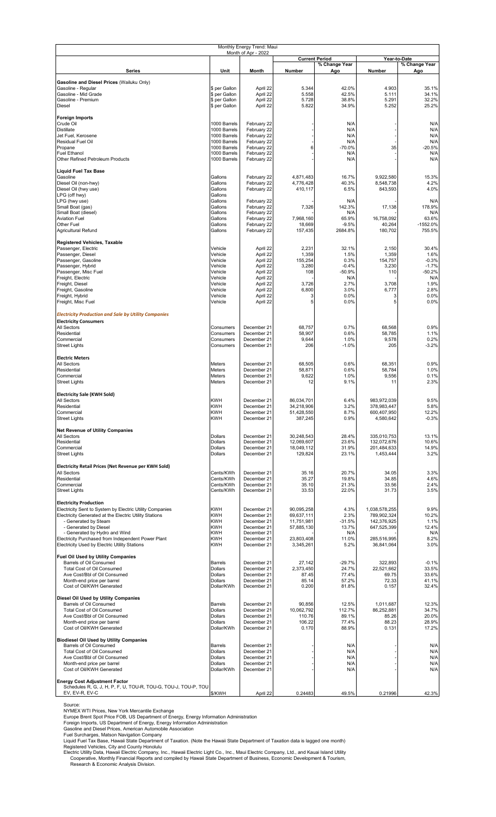|                                                                                                        |                                | Monthly Energy Trend: Maui<br>Month of Apr - 2022 |                          |                                        |                              |                               |
|--------------------------------------------------------------------------------------------------------|--------------------------------|---------------------------------------------------|--------------------------|----------------------------------------|------------------------------|-------------------------------|
|                                                                                                        |                                |                                                   |                          | <b>Current Period</b><br>% Change Year |                              | Year-to-Date<br>% Change Year |
| <b>Series</b>                                                                                          | Unit                           | Month                                             | Number                   | Ago                                    | Number                       | Ago                           |
| Gasoline and Diesel Prices (Wailuku Only)                                                              |                                |                                                   |                          |                                        |                              |                               |
| Gasoline - Regular<br>Gasoline - Mid Grade                                                             | \$ per Gallon<br>\$ per Gallon | April 22<br>April 22                              | 5.344<br>5.558           | 42.0%<br>42.5%                         | 4.903<br>5.111               | 35.1%<br>34.1%                |
| Gasoline - Premium                                                                                     | \$ per Gallon                  | April 22                                          | 5.728                    | 38.8%                                  | 5.291                        | 32.2%                         |
| Diesel                                                                                                 | \$ per Gallon                  | April 22                                          | 5.822                    | 34.9%                                  | 5.252                        | 25.2%                         |
| <b>Foreign Imports</b><br>Crude Oil                                                                    | 1000 Barrels                   | February 22                                       |                          | N/A                                    |                              | N/A                           |
| <b>Distillate</b>                                                                                      | 1000 Barrels                   | February 22                                       |                          | N/A                                    |                              | N/A                           |
| Jet Fuel, Kerosene<br>Residual Fuel Oil                                                                | 1000 Barrels<br>1000 Barrels   | February 22<br>February 22                        |                          | N/A<br>N/A                             |                              | N/A<br>N/A                    |
| Propane                                                                                                | 1000 Barrels                   | February 22                                       | 6                        | $-70.0%$                               | 35                           | $-20.5%$                      |
| <b>Fuel Ethanol</b><br>Other Refined Petroleum Products                                                | 1000 Barrels<br>1000 Barrels   | February 22<br>February 22                        |                          | N/A<br>N/A                             |                              | N/A<br>N/A                    |
|                                                                                                        |                                |                                                   |                          |                                        |                              |                               |
| <b>Liquid Fuel Tax Base</b><br>Gasoline                                                                | Gallons                        | February 22                                       | 4,871,483                | 16.7%                                  | 9,922,580                    | 15.3%                         |
| Diesel Oil (non-hwy)<br>Diesel Oil (hwy use)                                                           | Gallons<br>Gallons             | February 22<br>February 22                        | 4,776,428<br>410,117     | 40.3%<br>6.5%                          | 8,548,738<br>843,593         | 4.2%<br>4.0%                  |
| LPG (off hwy)                                                                                          | Gallons                        |                                                   |                          |                                        |                              |                               |
| LPG (hwy use)<br>Small Boat (gas)                                                                      | Gallons<br>Gallons             | February 22<br>February 22                        | 7,326                    | N/A<br>142.3%                          | 17,138                       | N/A<br>178.9%                 |
| Small Boat (diesel)                                                                                    | Gallons                        | February 22                                       |                          | N/A                                    |                              | N/A                           |
| <b>Aviation Fuel</b><br>Other Fuel                                                                     | Gallons<br>Gallons             | February 22<br>February 22                        | 7,968,160<br>18,669      | 65.9%<br>$-9.5%$                       | 16,758,092<br>40,264         | 63.6%<br>-1552.0%             |
| Agricultural Refund                                                                                    | Gallons                        | February 22                                       | 157,435                  | 2684.8%                                | 180,702                      | 755.5%                        |
| <b>Registered Vehicles, Taxable</b>                                                                    |                                |                                                   |                          |                                        |                              |                               |
| Passenger, Electric<br>Passenger, Diesel                                                               | Vehicle<br>Vehicle             | April 22<br>April 22                              | 2,231<br>1,359           | 32.1%<br>1.5%                          | 2,150<br>1,359               | 30.4%<br>1.6%                 |
| Passenger, Gasoline                                                                                    | Vehicle                        | April 22                                          | 155,254                  | 0.3%                                   | 154,757                      | $-0.3%$                       |
| Passenger, Hybrid<br>Passenger, Misc Fuel                                                              | Vehicle<br>Vehicle             | April 22<br>April 22                              | 3,280<br>108             | $-0.4%$<br>$-50.9%$                    | 3,230<br>110                 | $-1.7%$<br>$-50.2%$           |
| Freight, Electric                                                                                      | Vehicle                        | April 22                                          |                          | N/A                                    |                              | N/A                           |
| Freight, Diesel<br>Freight, Gasoline                                                                   | Vehicle<br>Vehicle             | April 22<br>April 22                              | 3,726<br>6,800           | 2.7%<br>3.0%                           | 3,708<br>6,777               | 1.9%<br>2.8%                  |
| Freight, Hybrid                                                                                        | Vehicle                        | April 22                                          | 3                        | 0.0%                                   | 3                            | 0.0%                          |
| Freight, Misc Fuel                                                                                     | Vehicle                        | April 22                                          | 5                        | 0.0%                                   | 5                            | 0.0%                          |
| <b>Electricity Production and Sale by Utility Companies</b>                                            |                                |                                                   |                          |                                        |                              |                               |
| <b>Electricity Consumers</b><br>All Sectors                                                            | Consumers                      | December 21                                       | 68,757                   | 0.7%                                   | 68,568                       | 0.9%                          |
| Residential                                                                                            | Consumers                      | December 21                                       | 58,907                   | 0.6%                                   | 58,785                       | 1.1%                          |
| Commercial<br><b>Street Lights</b>                                                                     | Consumers<br>Consumers         | December 21<br>December 21                        | 9,644<br>206             | 1.0%<br>$-1.0%$                        | 9,578<br>205                 | 0.2%<br>$-3.2%$               |
|                                                                                                        |                                |                                                   |                          |                                        |                              |                               |
| <b>Electric Meters</b><br>All Sectors                                                                  | Meters                         | December 21                                       | 68,505                   | 0.6%                                   | 68,351                       | 0.9%                          |
| Residential<br>Commercial                                                                              | Meters                         | December 21                                       | 58,871                   | 0.6%<br>1.0%                           | 58,784                       | 1.0%                          |
| <b>Street Lights</b>                                                                                   | Meters<br>Meters               | December 21<br>December 21                        | 9,622<br>12              | 9.1%                                   | 9,556<br>11                  | 0.1%<br>2.3%                  |
| <b>Electricity Sale (KWH Sold)</b>                                                                     |                                |                                                   |                          |                                        |                              |                               |
| All Sectors                                                                                            | <b>KWH</b>                     | December 21                                       | 86,034,701               | 6.4%                                   | 983,972,039                  | 9.5%                          |
| Residential<br>Commercial                                                                              | KWH<br><b>KWH</b>              | December 21<br>December 21                        | 34,218,906<br>51,428,550 | 3.2%<br>8.7%                           | 378,983,447<br>600,407,950   | 5.8%<br>12.2%                 |
| <b>Street Lights</b>                                                                                   | <b>KWH</b>                     | December 21                                       | 387,245                  | 0.9%                                   | 4,580,642                    | $-0.3%$                       |
| <b>Net Revenue of Utility Companies</b>                                                                |                                |                                                   |                          |                                        |                              |                               |
| All Sectors<br>Residential                                                                             | <b>Dollars</b><br>Dollars      | December 21<br>December 21                        | 30,248,543<br>12,069,607 | 28.4%<br>23.6%                         | 335,010,753<br>132,072,676   | 13.1%<br>10.6%                |
| Commercial                                                                                             | <b>Dollars</b>                 | December 21                                       | 18,049,112               | 31.9%                                  | 201,484,633                  | 14.9%                         |
| <b>Street Lights</b>                                                                                   | <b>Dollars</b>                 | December 21                                       | 129,824                  | 23.1%                                  | 1,453,444                    | 3.2%                          |
| Electricity Retail Prices (Net Revenue per KWH Sold)                                                   |                                |                                                   |                          |                                        |                              |                               |
| All Sectors<br>Residential                                                                             | Cents/KWh<br>Cents/KWh         | December 21<br>December 21                        | 35.16<br>35.27           | 20.7%<br>19.8%                         | 34.05<br>34.85               | 3.3%<br>4.6%                  |
| Commercial                                                                                             | Cents/KWh                      | December 21                                       | 35.10                    | 21.3%                                  | 33.56                        | 2.4%                          |
| <b>Street Lights</b>                                                                                   | Cents/KWh                      | December 21                                       | 33.53                    | 22.0%                                  | 31.73                        | 3.5%                          |
| <b>Electricity Production</b><br>Electricity Sent to System by Electric Utility Companies              | <b>KWH</b>                     | December 21                                       | 90,095,258               | 4.3%                                   |                              | 9.9%                          |
| Electricity Generated at the Electric Utility Stations                                                 | <b>KWH</b>                     | December 21                                       | 69,637,111               | 2.3%                                   | 1,038,578,255<br>789,902,324 | 10.2%                         |
| - Generated by Steam<br>- Generated by Diesel                                                          | <b>KWH</b><br><b>KWH</b>       | December 21<br>December 21                        | 11,751,981<br>57,885,130 | $-31.5%$<br>13.7%                      | 142,376,925<br>647,525,399   | 1.1%<br>12.4%                 |
| - Generated by Hydro and Wind                                                                          | <b>KWH</b>                     | December 21                                       |                          | N/A                                    |                              | N/A                           |
| Electricity Purchased from Independent Power Plant<br>Electricity Used by Electric Utility Stations    | <b>KWH</b><br><b>KWH</b>       | December 21<br>December 21                        | 23,803,408<br>3,345,261  | 11.0%<br>5.2%                          | 285,516,995<br>36,841,064    | 8.2%<br>3.0%                  |
| Fuel Oil Used by Utility Companies                                                                     |                                |                                                   |                          |                                        |                              |                               |
| Barrels of Oil Consumed                                                                                | Barrels                        | December 21                                       | 27,142                   | $-29.7%$                               | 322,893                      | $-0.1%$                       |
| Total Cost of Oil Consumed<br>Ave Cost/Bbl of Oil Consumed                                             | Dollars<br>Dollars             | December 21<br>December 21                        | 2,373,450<br>87.45       | 24.7%<br>77.4%                         | 22,521,662<br>69.75          | 33.5%<br>33.6%                |
| Month-end price per barrel                                                                             | <b>Dollars</b>                 | December 21                                       | 85.14                    | 57.2%                                  | 72.33                        | 41.1%                         |
| Cost of Oil/KWH Generated                                                                              | Dollar/KWh                     | December 21                                       | 0.200                    | 81.8%                                  | 0.157                        | 32.4%                         |
| Diesel Oil Used by Utility Companies                                                                   |                                |                                                   |                          |                                        |                              |                               |
| Barrels of Oil Consumed<br><b>Total Cost of Oil Consumed</b>                                           | Barrels<br><b>Dollars</b>      | December 21<br>December 21                        | 90,856<br>10,062,792     | 12.5%<br>112.7%                        | 1,011,687<br>86,252,881      | 12.3%<br>34.7%                |
| Ave Cost/Bbl of Oil Consumed                                                                           | Dollars                        | December 21                                       | 110.76                   | 89.1%                                  | 85.26                        | 20.0%                         |
| Month-end price per barrel<br>Cost of Oil/KWH Generated                                                | Dollars<br>Dollar/KWh          | December 21<br>December 21                        | 106.22<br>0.170          | 77.4%<br>88.9%                         | 88.23<br>0.131               | 28.9%<br>17.2%                |
| <b>Biodiesel Oil Used by Utility Companies</b>                                                         |                                |                                                   |                          |                                        |                              |                               |
| Barrels of Oil Consumed                                                                                | Barrels                        | December 21                                       |                          | N/A                                    |                              | N/A                           |
| Total Cost of Oil Consumed<br>Ave Cost/Bbl of Oil Consumed                                             | Dollars<br>Dollars             | December 21<br>December 21                        |                          | N/A<br>N/A                             |                              | N/A<br>N/A                    |
| Month-end price per barrel                                                                             | <b>Dollars</b>                 | December 21                                       |                          | N/A                                    |                              | N/A                           |
| Cost of Oil/KWH Generated                                                                              | Dollar/KWh                     | December 21                                       |                          | N/A                                    |                              | N/A                           |
| <b>Energy Cost Adjustment Factor</b><br>Schedules R, G, J, H, P, F, U, TOU-R, TOU-G, TOU-J, TOU-P, TOU |                                |                                                   |                          |                                        |                              |                               |
| EV, EV-R, EV-C                                                                                         | \$/KWH                         | April 22                                          | 0.24483                  | 49.5%                                  | 0.21996                      | 42.3%                         |

Source:<br>NYMEX WTI Prices, New York Mercantile Exchange<br>Europe Brent Spot Price FOB, US Department of Energy, Energy Information Administration<br>Foreign Imports, US Department of Energy, Energy Information Administration<br>Gas

|  |  |  |  |  |  | Liquid Fuel Tax Base. Hawaii State Department of Taxation. (Note the Hawaii State Department of Taxation data is lagged one month) |  |  |  |
|--|--|--|--|--|--|------------------------------------------------------------------------------------------------------------------------------------|--|--|--|
|  |  |  |  |  |  |                                                                                                                                    |  |  |  |

Liquid Fuel Tax Base, Hawaii State Department of Taxation. (Note the Hawaii State Department of Taxation data is lagged one month)<br>Registered Vehicles, City and County Honolulu<br>Electric Utility Data, Hawaii Electric Light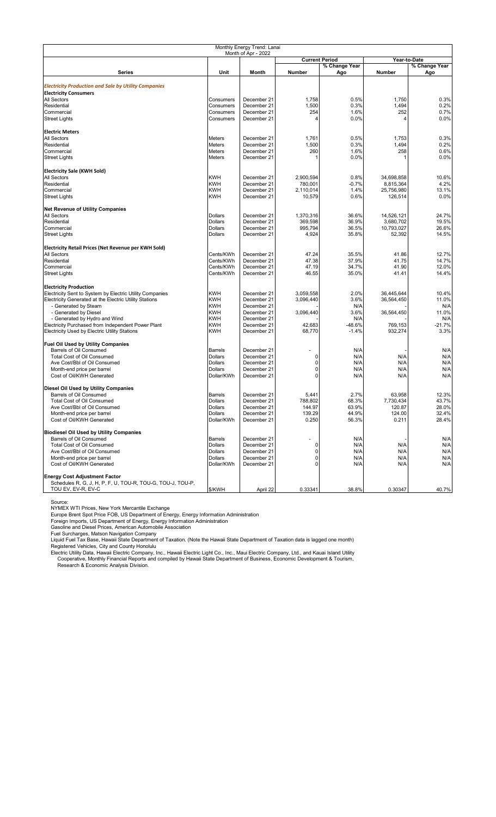|                                                             |                        | Monthly Energy Trend: Lanai<br>Month of Apr - 2022 |             |                       |            |               |
|-------------------------------------------------------------|------------------------|----------------------------------------------------|-------------|-----------------------|------------|---------------|
|                                                             |                        |                                                    |             | <b>Current Period</b> |            | Year-to-Date  |
|                                                             |                        |                                                    |             | % Change Year         |            | % Change Year |
| Series                                                      | Unit                   | Month                                              | Number      | Ago                   | Number     | Ago           |
| <b>Electricity Production and Sale by Utility Companies</b> |                        |                                                    |             |                       |            |               |
|                                                             |                        |                                                    |             |                       |            |               |
| <b>Electricity Consumers</b>                                |                        |                                                    |             |                       |            |               |
| <b>All Sectors</b>                                          | Consumers              | December 21                                        | 1,758       | 0.5%                  | 1,750      | 0.3%          |
| Residential                                                 | Consumers              | December 21                                        | 1,500       | 0.3%                  | 1,494      | 0.2%          |
| Commercial<br><b>Street Lights</b>                          | Consumers<br>Consumers | December 21<br>December 21                         | 254<br>4    | 1.6%<br>0.0%          | 252<br>4   | 0.7%<br>0.0%  |
|                                                             |                        |                                                    |             |                       |            |               |
| <b>Electric Meters</b>                                      |                        |                                                    |             |                       |            |               |
| <b>All Sectors</b>                                          | Meters                 | December 21                                        | 1,761       | 0.5%                  | 1,753      | 0.3%          |
| Residential                                                 | Meters                 | December 21                                        | 1,500       | 0.3%                  | 1,494      | 0.2%          |
| Commercial                                                  | Meters                 | December 21                                        | 260         | 1.6%                  | 258        | 0.6%          |
| <b>Street Lights</b>                                        | <b>Meters</b>          | December 21                                        |             | 0.0%                  |            | 0.0%          |
| <b>Electricity Sale (KWH Sold)</b>                          |                        |                                                    |             |                       |            |               |
| <b>All Sectors</b>                                          | <b>KWH</b>             | December 21                                        | 2,900,594   | 0.8%                  | 34,698,858 | 10.6%         |
| Residential                                                 | <b>KWH</b>             | December 21                                        | 780,001     | $-0.7%$               | 8,815,364  | 4.2%          |
| Commercial                                                  | <b>KWH</b>             | December 21                                        | 2,110,014   | 1.4%                  | 25,756,980 | 13.1%         |
| <b>Street Lights</b>                                        | <b>KWH</b>             | December 21                                        | 10,579      | 0.6%                  | 126,514    | 0.0%          |
| <b>Net Revenue of Utility Companies</b>                     |                        |                                                    |             |                       |            |               |
| <b>All Sectors</b>                                          | <b>Dollars</b>         | December 21                                        | 1,370,316   | 36.6%                 | 14,526,121 | 24.7%         |
| Residential                                                 | Dollars                | December 21                                        | 369,598     | 36.9%                 | 3,680,702  | 19.5%         |
| Commercial                                                  | Dollars                | December 21                                        | 995,794     | 36.5%                 | 10,793,027 | 26.6%         |
| <b>Street Lights</b>                                        | Dollars                | December 21                                        | 4,924       | 35.8%                 | 52,392     | 14.5%         |
|                                                             |                        |                                                    |             |                       |            |               |
| Electricity Retail Prices (Net Revenue per KWH Sold)        |                        |                                                    |             |                       |            |               |
| <b>All Sectors</b>                                          | Cents/KWh              | December 21                                        | 47.24       | 35.5%                 | 41.86      | 12.7%         |
| Residential                                                 | Cents/KWh              | December 21                                        | 47.38       | 37.9%                 | 41.75      | 14.7%         |
| Commercial                                                  | Cents/KWh              | December 21                                        | 47.19       | 34.7%                 | 41.90      | 12.0%         |
| <b>Street Lights</b>                                        | Cents/KWh              | December 21                                        | 46.55       | 35.0%                 | 41.41      | 14.4%         |
| <b>Electricity Production</b>                               |                        |                                                    |             |                       |            |               |
| Electricity Sent to System by Electric Utility Companies    | <b>KWH</b>             | December 21                                        | 3,059,558   | 2.0%                  | 36,445,644 | 10.4%         |
| Electricity Generated at the Electric Utility Stations      | KWH                    | December 21                                        | 3,096,440   | 3.6%                  | 36,564,450 | 11.0%         |
| - Generated by Steam                                        | <b>KWH</b>             | December 21                                        |             | N/A                   |            | N/A           |
| - Generated by Diesel                                       | <b>KWH</b>             | December 21                                        | 3,096,440   | 3.6%                  | 36,564,450 | 11.0%         |
| - Generated by Hydro and Wind                               | <b>KWH</b>             | December 21                                        |             | N/A                   |            | N/A           |
| Electricity Purchased from Independent Power Plant          | <b>KWH</b>             | December 21                                        | 42,683      | $-48.6%$              | 769,153    | -21.7%        |
| <b>Electricity Used by Electric Utility Stations</b>        | <b>KWH</b>             | December 21                                        | 68,770      | $-1.4%$               | 932,274    | 3.3%          |
| <b>Fuel Oil Used by Utility Companies</b>                   |                        |                                                    |             |                       |            |               |
| Barrels of Oil Consumed                                     | <b>Barrels</b>         | December 21                                        |             | N/A                   |            | N/A           |
| <b>Total Cost of Oil Consumed</b>                           | <b>Dollars</b>         | December 21                                        | 0           | N/A                   | N/A        | N/A           |
| Ave Cost/Bbl of Oil Consumed                                | Dollars                | December 21                                        | 0           | N/A                   | N/A        | N/A           |
| Month-end price per barrel                                  | Dollars                | December 21                                        | 0           | N/A                   | N/A        | N/A           |
| Cost of Oil/KWH Generated                                   | Dollar/KWh             | December 21                                        | 0           | N/A                   | N/A        | N/A           |
|                                                             |                        |                                                    |             |                       |            |               |
| Diesel Oil Used by Utility Companies                        |                        |                                                    |             |                       |            |               |
| Barrels of Oil Consumed                                     | Barrels                | December 21                                        | 5,441       | 2.7%                  | 63,958     | 12.3%         |
| <b>Total Cost of Oil Consumed</b>                           | Dollars                | December 21                                        | 788,802     | 68.3%                 | 7,730,434  | 43.7%         |
| Ave Cost/Bbl of Oil Consumed                                | Dollars                | December 21                                        | 144.97      | 63.9%                 | 120.87     | 28.0%         |
| Month-end price per barrel                                  | Dollars                | December 21                                        | 139.29      | 44.9%                 | 124.00     | 32.4%         |
| Cost of Oil/KWH Generated                                   | Dollar/KWh             | December 21                                        | 0.250       | 56.3%                 | 0.211      | 28.4%         |
| <b>Biodiesel Oil Used by Utility Companies</b>              |                        |                                                    |             |                       |            |               |
| Barrels of Oil Consumed                                     | Barrels                | December 21                                        |             | N/A                   |            | N/A           |
| <b>Total Cost of Oil Consumed</b>                           | <b>Dollars</b>         | December 21                                        | $\mathbf 0$ | N/A                   | N/A        | N/A           |
| Ave Cost/Bbl of Oil Consumed                                | Dollars                | December 21                                        | 0           | N/A                   | N/A        | N/A           |
| Month-end price per barrel                                  | Dollars                | December 21                                        | $\mathbf 0$ | N/A                   | N/A        | N/A           |
| Cost of Oil/KWH Generated                                   | Dollar/KWh             | December 21                                        | 0           | N/A                   | N/A        | N/A           |
| <b>Energy Cost Adjustment Factor</b>                        |                        |                                                    |             |                       |            |               |
| Schedules R, G, J, H, P, F, U, TOU-R, TOU-G, TOU-J, TOU-P,  |                        |                                                    |             |                       |            |               |
| TOU EV, EV-R, EV-C                                          | \$/KWH                 | April 22                                           | 0.33341     | 38.8%                 | 0.30347    | 40.7%         |

Source:<br>NYMEX WTI Prices, New York Mercantile Exchange<br>Evrope Brent Spot Price FOB, US Department of Energy, Energy Information Administration<br>Foreign Imports, US Department of Energy, Energy Information Administration<br>Gas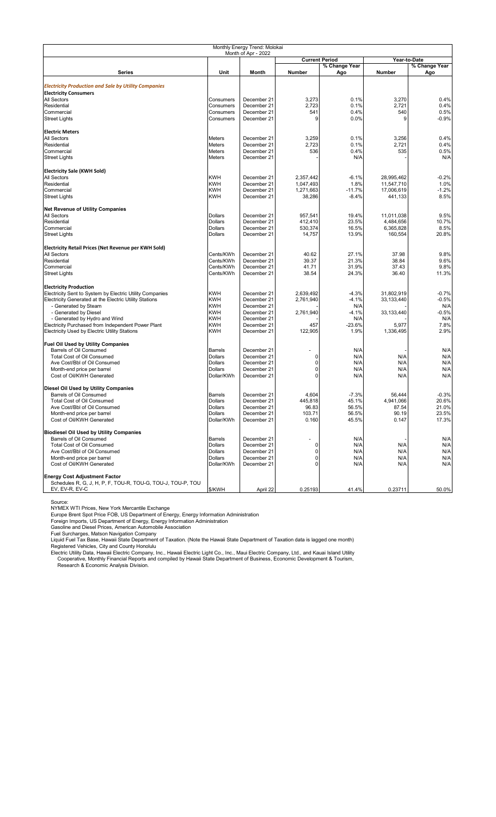|                                                                                                            |                          | Monthly Energy Trend: Molokai<br>Month of Apr - 2022 |                |                       |                    |               |
|------------------------------------------------------------------------------------------------------------|--------------------------|------------------------------------------------------|----------------|-----------------------|--------------------|---------------|
|                                                                                                            |                          |                                                      |                | <b>Current Period</b> |                    | Year-to-Date  |
|                                                                                                            |                          |                                                      |                | % Change Year         |                    | % Change Year |
| Series                                                                                                     | Unit                     | Month                                                | Number         | Ago                   | Number             | Ago           |
| <b>Electricity Production and Sale by Utility Companies</b>                                                |                          |                                                      |                |                       |                    |               |
| <b>Electricity Consumers</b>                                                                               |                          |                                                      |                |                       |                    |               |
| <b>All Sectors</b>                                                                                         | Consumers                | December 21                                          | 3,273          | 0.1%                  | 3,270              | 0.4%          |
| Residential                                                                                                | Consumers                | December 21                                          | 2,723          | 0.1%                  | 2,721              | 0.4%          |
| Commercial                                                                                                 | Consumers                | December 21                                          | 541            | 0.4%                  | 540                | 0.5%          |
| <b>Street Lights</b>                                                                                       | Consumers                | December 21                                          | 9              | 0.0%                  | 9                  | $-0.9%$       |
| <b>Electric Meters</b>                                                                                     |                          |                                                      |                |                       |                    |               |
| <b>All Sectors</b>                                                                                         | Meters                   | December 21                                          | 3,259          | 0.1%                  | 3,256              | 0.4%          |
| Residential                                                                                                | Meters                   | December 21                                          | 2,723          | 0.1%                  | 2,721              | 0.4%          |
| Commercial                                                                                                 | Meters                   | December 21                                          | 536            | 0.4%                  | 535                | 0.5%          |
| <b>Street Lights</b>                                                                                       | Meters                   | December 21                                          |                | N/A                   |                    | N/A           |
| <b>Electricity Sale (KWH Sold)</b>                                                                         |                          |                                                      |                |                       |                    |               |
| <b>All Sectors</b>                                                                                         | <b>KWH</b>               | December 21                                          | 2,357,442      | $-6.1%$               | 28,995,462         | $-0.2\%$      |
| Residential                                                                                                | <b>KWH</b>               | December 21                                          | 1,047,493      | 1.8%                  | 11,547,710         | 1.0%          |
| Commercial                                                                                                 | <b>KWH</b>               | December 21                                          | 1,271,663      | $-11.7%$              | 17,006,619         | $-1.2%$       |
| <b>Street Lights</b>                                                                                       | <b>KWH</b>               | December 21                                          | 38,286         | $-8.4%$               | 441,133            | 8.5%          |
|                                                                                                            |                          |                                                      |                |                       |                    |               |
| <b>Net Revenue of Utility Companies</b>                                                                    |                          | December 21                                          |                |                       |                    |               |
| <b>All Sectors</b>                                                                                         | Dollars                  |                                                      | 957,541        | 19.4%                 | 11,011,038         | 9.5%          |
| Residential                                                                                                | Dollars                  | December 21                                          | 412,410        | 23.5%                 | 4,484,656          | 10.7%         |
| Commercial                                                                                                 | Dollars                  | December 21                                          | 530,374        | 16.5%                 | 6,365,828          | 8.5%          |
| <b>Street Lights</b>                                                                                       | Dollars                  | December 21                                          | 14,757         | 13.9%                 | 160,554            | 20.8%         |
| Electricity Retail Prices (Net Revenue per KWH Sold)                                                       |                          |                                                      |                |                       |                    |               |
| <b>All Sectors</b>                                                                                         | Cents/KWh                | December 21                                          | 40.62          | 27.1%                 | 37.98              | 9.8%          |
| Residential                                                                                                | Cents/KWh                | December 21                                          | 39.37          | 21.3%                 | 38.84              | 9.6%          |
| Commercial<br><b>Street Lights</b>                                                                         | Cents/KWh<br>Cents/KWh   | December 21<br>December 21                           | 41.71<br>38.54 | 31.9%<br>24.3%        | 37.43<br>36.40     | 9.8%<br>11.3% |
|                                                                                                            |                          |                                                      |                |                       |                    |               |
| <b>Electricity Production</b>                                                                              |                          |                                                      |                |                       |                    |               |
| Electricity Sent to System by Electric Utility Companies                                                   | <b>KWH</b>               | December 21                                          | 2,639,492      | $-4.3%$               | 31,802,919         | $-0.7%$       |
| Electricity Generated at the Electric Utility Stations                                                     | KWH                      | December 21                                          | 2,761,940      | $-4.1%$               | 33, 133, 440       | $-0.5%$       |
| - Generated by Steam                                                                                       | <b>KWH</b>               | December 21                                          |                | N/A                   |                    | N/A           |
| - Generated by Diesel                                                                                      | <b>KWH</b>               | December 21                                          | 2,761,940      | $-4.1%$               | 33,133,440         | $-0.5%$       |
| - Generated by Hydro and Wind                                                                              | <b>KWH</b>               | December 21                                          |                | N/A                   |                    | N/A           |
| Electricity Purchased from Independent Power Plant<br><b>Electricity Used by Electric Utility Stations</b> | <b>KWH</b><br><b>KWH</b> | December 21<br>December 21                           | 457<br>122,905 | $-23.6%$<br>1.9%      | 5,977<br>1,336,495 | 7.8%<br>2.9%  |
|                                                                                                            |                          |                                                      |                |                       |                    |               |
| <b>Fuel Oil Used by Utility Companies</b>                                                                  |                          |                                                      |                |                       |                    |               |
| Barrels of Oil Consumed                                                                                    | Barrels                  | December 21                                          |                | N/A                   |                    | N/A           |
| <b>Total Cost of Oil Consumed</b>                                                                          | <b>Dollars</b>           | December 21                                          | 0              | N/A                   | N/A                | N/A           |
| Ave Cost/Bbl of Oil Consumed                                                                               | <b>Dollars</b>           | December 21                                          | 0              | N/A                   | N/A                | N/A           |
| Month-end price per barrel                                                                                 | Dollars                  | December 21                                          | 0              | N/A                   | N/A                | N/A           |
| Cost of Oil/KWH Generated                                                                                  | Dollar/KWh               | December 21                                          | 0              | N/A                   | N/A                | N/A           |
| Diesel Oil Used by Utility Companies                                                                       |                          |                                                      |                |                       |                    |               |
| Barrels of Oil Consumed                                                                                    | Barrels                  | December 21                                          | 4,604          | $-7.3%$               | 56,444             | $-0.3%$       |
| <b>Total Cost of Oil Consumed</b>                                                                          | Dollars                  | December 21                                          | 445,818        | 45.1%                 | 4,941,066          | 20.6%         |
| Ave Cost/Bbl of Oil Consumed                                                                               | Dollars                  | December 21                                          | 96.83          | 56.5%                 | 87.54              | 21.0%         |
| Month-end price per barrel                                                                                 | <b>Dollars</b>           | December 21                                          | 103.71         | 56.5%                 | 90.19              | 23.5%         |
| Cost of Oil/KWH Generated                                                                                  | Dollar/KWh               | December 21                                          | 0.160          | 45.5%                 | 0.147              | 17.3%         |
| <b>Biodiesel Oil Used by Utility Companies</b>                                                             |                          |                                                      |                |                       |                    |               |
| Barrels of Oil Consumed                                                                                    | Barrels                  | December 21                                          |                | N/A                   |                    | N/A           |
| <b>Total Cost of Oil Consumed</b>                                                                          | <b>Dollars</b>           | December 21                                          | $\mathbf 0$    | N/A                   | N/A                | N/A           |
| Ave Cost/Bbl of Oil Consumed                                                                               | Dollars                  | December 21                                          | 0              | N/A                   | N/A                | N/A           |
| Month-end price per barrel                                                                                 | <b>Dollars</b>           | December 21                                          | $\mathbf 0$    | N/A                   | N/A                | N/A           |
| Cost of Oil/KWH Generated                                                                                  | Dollar/KWh               | December 21                                          | 0              | N/A                   | N/A                | N/A           |
| <b>Energy Cost Adjustment Factor</b>                                                                       |                          |                                                      |                |                       |                    |               |
| Schedules R, G, J, H, P, F, TOU-R, TOU-G, TOU-J, TOU-P, TOU                                                |                          |                                                      |                |                       |                    |               |
| EV, EV-R, EV-C                                                                                             | \$/KWH                   | April 22                                             | 0.25193        | 41.4%                 | 0.23711            | 50.0%         |

Source:<br>NYMEX WTI Prices, New York Mercantile Exchange<br>Evrope Brent Spot Price FOB, US Department of Energy, Energy Information Administration<br>Foreign Imports, US Department of Energy, Energy Information Administration<br>Gas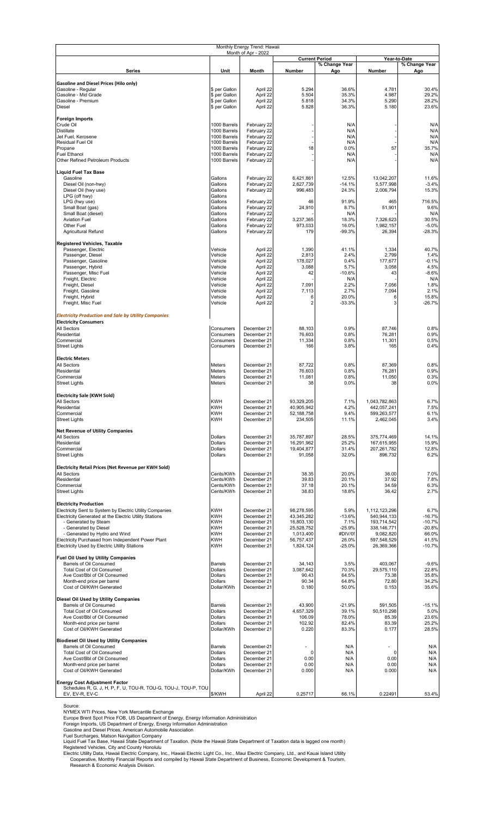| Monthly Energy Trend: Hawaii<br>Month of Apr - 2022                                                    |                                |                            |                          |                                        |                              |                               |  |  |  |  |
|--------------------------------------------------------------------------------------------------------|--------------------------------|----------------------------|--------------------------|----------------------------------------|------------------------------|-------------------------------|--|--|--|--|
|                                                                                                        |                                |                            |                          | <b>Current Period</b><br>% Change Year |                              | Year-to-Date<br>% Change Year |  |  |  |  |
| <b>Series</b>                                                                                          | Unit                           | Month                      | Number                   | Ago                                    | Number                       | Ago                           |  |  |  |  |
| <b>Gasoline and Diesel Prices (Hilo only)</b>                                                          |                                |                            |                          |                                        |                              |                               |  |  |  |  |
| Gasoline - Regular<br>Gasoline - Mid Grade                                                             | \$ per Gallon<br>\$ per Gallon | April 22<br>April 22       | 5.294<br>5.504           | 36.6%<br>35.3%                         | 4.781<br>4.987               | 30.4%<br>29.2%                |  |  |  |  |
| Gasoline - Premium<br>Diesel                                                                           | \$ per Gallon                  | April 22                   | 5.818<br>5.828           | 34.3%<br>36.3%                         | 5.290<br>5.180               | 28.2%<br>23.6%                |  |  |  |  |
|                                                                                                        | \$ per Gallon                  | April 22                   |                          |                                        |                              |                               |  |  |  |  |
| Foreign Imports<br>Crude Oil                                                                           | 1000 Barrels                   | February 22                |                          | N/A                                    |                              | N/A                           |  |  |  |  |
| Distillate<br>Jet Fuel, Kerosene                                                                       | 1000 Barrels<br>1000 Barrels   | February 22<br>February 22 |                          | N/A<br>N/A                             |                              | N/A<br>N/A                    |  |  |  |  |
| <b>Residual Fuel Oil</b>                                                                               | 1000 Barrels                   | February 22                |                          | N/A                                    |                              | N/A                           |  |  |  |  |
| Propane<br><b>Fuel Ethanol</b>                                                                         | 1000 Barrels<br>1000 Barrels   | February 22<br>February 22 | 18                       | 0.0%<br>N/A                            | 57                           | 35.7%<br>N/A                  |  |  |  |  |
| Other Refined Petroleum Products                                                                       | 1000 Barrels                   | February 22                |                          | N/A                                    |                              | N/A                           |  |  |  |  |
| <b>Liquid Fuel Tax Base</b>                                                                            |                                |                            |                          |                                        |                              |                               |  |  |  |  |
| Gasoline<br>Diesel Oil (non-hwy)                                                                       | Gallons<br>Gallons             | February 22<br>February 22 | 6,421,861<br>2,627,739   | 12.5%<br>$-14.1%$                      | 13,042,207<br>5,577,998      | 11.6%<br>$-3.4%$              |  |  |  |  |
| Diesel Oil (hwy use)<br>LPG (off hwy)                                                                  | Gallons<br>Gallons             | February 22                | 996,483                  | 24.3%                                  | 2,006,794                    | 15.3%                         |  |  |  |  |
| LPG (hwy use)                                                                                          | Gallons                        | February 22                | 46                       | 91.9%<br>8.7%                          | 465                          | 716.5%                        |  |  |  |  |
| Small Boat (gas)<br>Small Boat (diesel)                                                                | Gallons<br>Gallons             | February 22<br>February 22 | 24,910                   | N/A                                    | 51,901                       | 9.6%<br>N/A                   |  |  |  |  |
| <b>Aviation Fuel</b><br>Other Fuel                                                                     | Gallons<br>Gallons             | February 22<br>February 22 | 3,237,365<br>973.033     | 18.3%<br>16.0%                         | 7,326,623<br>1,982,157       | 30.5%<br>$-5.0%$              |  |  |  |  |
| Agricultural Refund                                                                                    | Gallons                        | February 22                | 179                      | $-99.3%$                               | 26,394                       | $-28.3%$                      |  |  |  |  |
| Registered Vehicles, Taxable                                                                           |                                |                            |                          |                                        |                              |                               |  |  |  |  |
| Passenger, Electric<br>Passenger, Diesel                                                               | Vehicle<br>Vehicle             | April 22<br>April 22       | 1,390<br>2,813           | 41.1%<br>2.4%                          | 1,334<br>2,799               | 40.7%<br>1.4%                 |  |  |  |  |
| Passenger, Gasoline<br>Passenger, Hybrid                                                               | Vehicle<br>Vehicle             | April 22<br>April 22       | 178,027<br>3,088         | 0.4%<br>5.7%                           | 177,677<br>3,058             | $-0.1%$<br>4.5%               |  |  |  |  |
| Passenger, Misc Fuel                                                                                   | Vehicle                        | April 22                   | 42                       | $-10.6%$                               | 43                           | $-8.6%$                       |  |  |  |  |
| Freight, Electric<br>Freight, Diesel                                                                   | Vehicle<br>Vehicle             | April 22<br>April 22       | 7,091                    | N/A<br>2.2%                            | 7,056                        | N/A<br>1.8%                   |  |  |  |  |
| Freight, Gasoline<br>Freight, Hybrid                                                                   | Vehicle<br>Vehicle             | April 22<br>April 22       | 7,113<br>6               | 2.7%<br>20.0%                          | 7,094<br>6                   | 2.1%<br>15.8%                 |  |  |  |  |
| Freight, Misc Fuel                                                                                     | Vehicle                        | April 22                   | $\overline{2}$           | $-33.3%$                               | 3                            | $-26.7%$                      |  |  |  |  |
| <b>Electricity Production and Sale by Utility Companies</b>                                            |                                |                            |                          |                                        |                              |                               |  |  |  |  |
| <b>Electricity Consumers</b><br>All Sectors                                                            | Consumers                      | December 21                | 88,103                   | 0.9%                                   | 87,746                       | 0.8%                          |  |  |  |  |
| Residential                                                                                            | Consumers                      | December 21                | 76,603                   | 0.8%                                   | 76,281                       | 0.9%                          |  |  |  |  |
| Commercial<br><b>Street Lights</b>                                                                     | Consumers<br>Consumers         | December 21<br>December 21 | 11,334<br>166            | 0.8%<br>3.8%                           | 11,301<br>165                | 0.5%<br>0.4%                  |  |  |  |  |
| <b>Electric Meters</b>                                                                                 |                                |                            |                          |                                        |                              |                               |  |  |  |  |
| All Sectors                                                                                            | Meters                         | December 21                | 87,722                   | 0.8%                                   | 87,369                       | 0.8%                          |  |  |  |  |
| Residential<br>Commercial                                                                              | Meters<br>Meters               | December 21<br>December 21 | 76,603<br>11,081         | 0.8%<br>0.8%                           | 76,281<br>11,050             | 0.9%<br>0.3%                  |  |  |  |  |
| <b>Street Lights</b>                                                                                   | Meters                         | December 21                | 38                       | 0.0%                                   | 38                           | 0.0%                          |  |  |  |  |
| <b>Electricity Sale (KWH Sold)</b>                                                                     |                                |                            |                          |                                        |                              |                               |  |  |  |  |
| <b>All Sectors</b><br>Residential                                                                      | <b>KWH</b><br>KWH              | December 21<br>December 21 | 93,329,205<br>40,905,942 | 7.1%<br>4.2%                           | 1,043,782,863<br>442,057,241 | 6.7%<br>7.5%                  |  |  |  |  |
| Commercial<br><b>Street Lights</b>                                                                     | <b>KWH</b><br><b>KWH</b>       | December 21<br>December 21 | 52, 188, 758<br>234,505  | 9.4%<br>11.1%                          | 599,263,577<br>2,462,045     | 6.1%<br>3.4%                  |  |  |  |  |
| <b>Net Revenue of Utility Companies</b>                                                                |                                |                            |                          |                                        |                              |                               |  |  |  |  |
| All Sectors                                                                                            | Dollars                        | December 21                | 35,787,897               | 28.5%                                  | 375,774,469                  | 14.1%                         |  |  |  |  |
| Residential<br>Commercial                                                                              | Dollars<br>Dollars             | December 21<br>December 21 | 16,291,962<br>19,404,877 | 25.2%<br>31.4%                         | 167,615,955<br>207,261,782   | 15.9%<br>12.8%                |  |  |  |  |
| <b>Street Lights</b>                                                                                   | Dollars                        | December 21                | 91.058                   | 32.0%                                  | 896,732                      | 6.2%                          |  |  |  |  |
| Electricity Retail Prices (Net Revenue per KWH Sold)                                                   |                                |                            |                          |                                        |                              |                               |  |  |  |  |
| All Sectors<br>Residential                                                                             | Cents/KWh<br>Cents/KWh         | December 21<br>December 21 | 38.35<br>39.83           | 20.0%<br>20.1%                         | 36.00<br>37.92               | 7.0%<br>7.8%                  |  |  |  |  |
| Commercial<br><b>Street Lights</b>                                                                     | Cents/KWh<br>Cents/KWh         | December 21<br>December 21 | 37.18<br>38.83           | 20.1%<br>18.8%                         | 34.59<br>36.42               | 6.3%<br>2.7%                  |  |  |  |  |
|                                                                                                        |                                |                            |                          |                                        |                              |                               |  |  |  |  |
| <b>Electricity Production</b><br>Electricity Sent to System by Electric Utility Companies              | KWH                            | December 21                | 98,278,595               | 5.9%                                   | 1,112,123,296                | 6.7%                          |  |  |  |  |
| Electricity Generated at the Electric Utility Stations<br>- Generated by Steam                         | <b>KWH</b><br><b>KWH</b>       | December 21<br>December 21 | 43,345,282<br>16,803,130 | $-13.6%$<br>7.1%                       | 540,944,133<br>193,714,542   | $-16.7%$<br>$-10.7%$          |  |  |  |  |
| - Generated by Diesel<br>- Generated by Hydro and Wind                                                 | <b>KWH</b><br><b>KWH</b>       | December 21<br>December 21 | 25,528,752<br>1,013,400  | $-25.9%$<br>#DIV/0!                    | 338, 146, 771<br>9,082,820   | $-20.8%$<br>66.0%             |  |  |  |  |
| Electricity Purchased from Independent Power Plant                                                     | <b>KWH</b>                     | December 21                | 56,757,437               | 26.0%                                  | 597,548,529                  | 41.5%                         |  |  |  |  |
| Electricity Used by Electric Utility Stations                                                          | <b>KWH</b>                     | December 21                | 1,824,124                | $-25.0%$                               | 26,369,366                   | $-10.7%$                      |  |  |  |  |
| Fuel Oil Used by Utility Companies<br>Barrels of Oil Consumed                                          | Barrels                        | December 21                | 34,143                   | 3.5%                                   | 403,067                      | $-9.6%$                       |  |  |  |  |
| Total Cost of Oil Consumed<br>Ave Cost/Bbl of Oil Consumed                                             | Dollars<br><b>Dollars</b>      | December 21<br>December 21 | 3,087,642<br>90.43       | 70.3%<br>64.5%                         | 29,575,110                   | 22.8%<br>35.8%                |  |  |  |  |
| Month-end price per barrel                                                                             | Dollars                        | December 21                | 90.34                    | 64.8%                                  | 73.38<br>72.80               | 34.2%                         |  |  |  |  |
| Cost of Oil/KWH Generated                                                                              | Dollar/KWh                     | December 21                | 0.180                    | 50.0%                                  | 0.153                        | 35.6%                         |  |  |  |  |
| Diesel Oil Used by Utility Companies<br>Barrels of Oil Consumed                                        | <b>Barrels</b>                 | December 21                | 43,900                   | $-21.9%$                               | 591,505                      | $-15.1%$                      |  |  |  |  |
| Total Cost of Oil Consumed                                                                             | Dollars                        | December 21                | 4,657,329                | 39.1%                                  | 50,510,298                   | 5.0%                          |  |  |  |  |
| Ave Cost/Bbl of Oil Consumed<br>Month-end price per barrel                                             | Dollars<br><b>Dollars</b>      | December 21<br>December 21 | 106.09<br>102.92         | 78.0%<br>82.4%                         | 85.39<br>83.39               | 23.6%<br>25.2%                |  |  |  |  |
| Cost of Oil/KWH Generated                                                                              | Dollar/KWh                     | December 21                | 0.220                    | 83.3%                                  | 0.177                        | 28.5%                         |  |  |  |  |
| <b>Biodiesel Oil Used by Utility Companies</b><br>Barrels of Oil Consumed                              | Barrels                        | December-21                |                          | N/A                                    |                              | N/A                           |  |  |  |  |
| <b>Total Cost of Oil Consumed</b>                                                                      | Dollars                        | December 21                | $\Omega$                 | N/A                                    | $\Omega$                     | N/A                           |  |  |  |  |
| Ave Cost/Bbl of Oil Consumed<br>Month-end price per barrel                                             | <b>Dollars</b><br>Dollars      | December 21<br>December 21 | 0.00<br>0.00             | N/A<br>N/A                             | 0.00<br>0.00                 | N/A<br>N/A                    |  |  |  |  |
| Cost of Oil/KWH Generated                                                                              | Dollar/KWh                     | December 21                | 0.000                    | N/A                                    | 0.000                        | N/A                           |  |  |  |  |
| <b>Energy Cost Adjustment Factor</b><br>Schedules R, G, J, H, P, F, U, TOU-R, TOU-G, TOU-J, TOU-P, TOU |                                |                            |                          |                                        |                              |                               |  |  |  |  |
| EV, EV-R, EV-C                                                                                         | \$/KWH                         | April 22                   | 0.25717                  | 66.1%                                  | 0.22491                      | 53.4%                         |  |  |  |  |

Source:<br>NCKNEX WTI Prices, New York Mercantile Exchange<br>Europe Brent Spot Price FOB, US Department of Energy, Energy Information Administration<br>Foreign Imports, US Department of Energy, Energy Information Administration<br>Fu